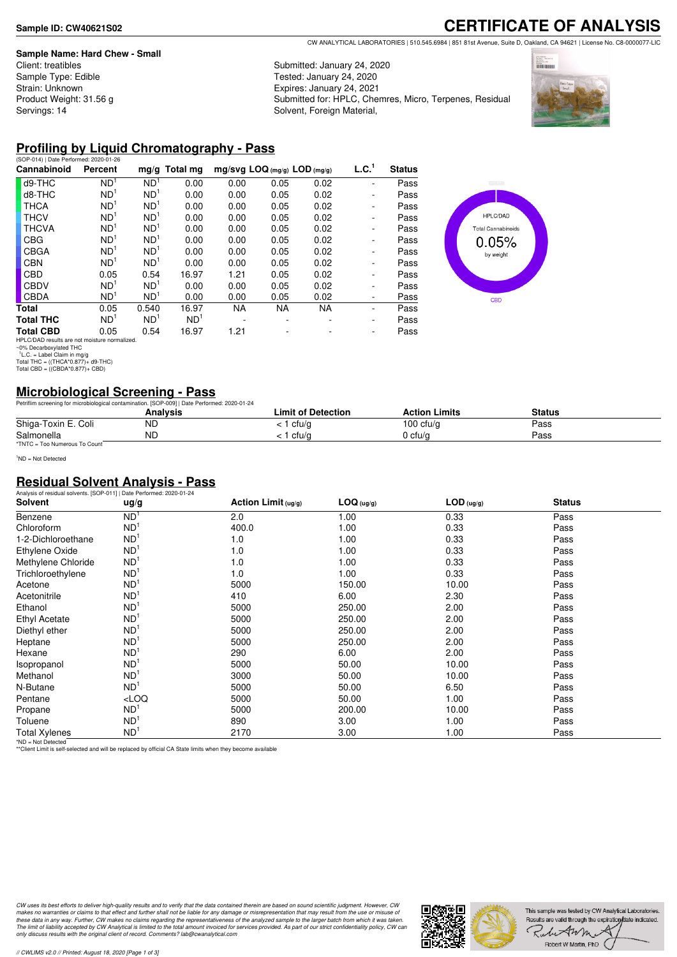#### **Sample Name: Hard Chew - Small**

Client: treatibles Sample Type: Edible Strain: Unknown Product Weight: 31.56 g Servings: 14

# **CERTIFICATE OF ANALYSIS**

CW ANALYTICAL LABORATORIES | 510.545.6984 | 851 81st Avenue, Suite D, Oakland, CA 94621 | License No. C8-0000077-LIC

Submitted: January 24, 2020 Tested: January 24, 2020 Expires: January 24, 2021 Submitted for: HPLC, Chemres, Micro, Terpenes, Residual Solvent, Foreign Material,



## **Profiling by Liquid Chromatography - Pass**

| (SOP-014)   Date Performed: 2020-01-26                                                                  |                 |                 |                 |                                |      |      |                   |               |
|---------------------------------------------------------------------------------------------------------|-----------------|-----------------|-----------------|--------------------------------|------|------|-------------------|---------------|
| Cannabinoid                                                                                             | Percent         | mg/g            | Total mg        | $mg/svg$ LOQ (mg/g) LOD (mg/g) |      |      | L.C. <sup>1</sup> | <b>Status</b> |
| d9-THC                                                                                                  | ND <sup>1</sup> | ND <sup>1</sup> | 0.00            | 0.00                           | 0.05 | 0.02 | ٠                 | Pass          |
| d8-THC                                                                                                  | ND <sup>1</sup> | ND <sup>1</sup> | 0.00            | 0.00                           | 0.05 | 0.02 | ۰                 | Pass          |
| <b>THCA</b>                                                                                             | ND <sup>1</sup> | ND <sup>1</sup> | 0.00            | 0.00                           | 0.05 | 0.02 | ۰                 | Pass          |
| <b>THCV</b>                                                                                             | ND <sup>1</sup> | ND <sup>1</sup> | 0.00            | 0.00                           | 0.05 | 0.02 | ۰                 | Pass          |
| <b>THCVA</b>                                                                                            | ND <sup>1</sup> | ND <sup>1</sup> | 0.00            | 0.00                           | 0.05 | 0.02 | ۰                 | Pass          |
| CBG                                                                                                     | ND <sup>1</sup> | ND <sup>1</sup> | 0.00            | 0.00                           | 0.05 | 0.02 | ٠                 | Pass          |
| CBGA                                                                                                    | ND <sup>1</sup> | ND <sup>1</sup> | 0.00            | 0.00                           | 0.05 | 0.02 | ٠                 | Pass          |
| <b>CBN</b>                                                                                              | ND <sup>1</sup> | ND <sup>1</sup> | 0.00            | 0.00                           | 0.05 | 0.02 | ۰                 | Pass          |
| CBD                                                                                                     | 0.05            | 0.54            | 16.97           | 1.21                           | 0.05 | 0.02 | ۰                 | Pass          |
| <b>CBDV</b>                                                                                             | ND <sup>1</sup> | ND <sup>1</sup> | 0.00            | 0.00                           | 0.05 | 0.02 | ۰                 | Pass          |
| <b>CBDA</b>                                                                                             | ND <sup>1</sup> | ND <sup>1</sup> | 0.00            | 0.00                           | 0.05 | 0.02 | ۰                 | Pass          |
| Total                                                                                                   | 0.05            | 0.540           | 16.97           | NA.                            | NA.  | NA   | ٠                 | Pass          |
| <b>Total THC</b>                                                                                        | ND <sup>1</sup> | ND <sup>1</sup> | ND <sup>1</sup> | $\overline{\phantom{a}}$       | ۰    |      | ۰                 | Pass          |
| <b>Total CBD</b>                                                                                        | 0.05            | 0.54            | 16.97           | 1.21                           |      |      | ۰                 | Pass          |
| HPLC/DAD results are not moisture normalized.<br>~0% Decarboxylated THC<br>$L.C. = Label Claim in mg/q$ |                 |                 |                 |                                |      |      |                   |               |
| Total THC = $((THCA*0.877)+d9-THC)$<br>Total CBD = $((CBDA*0.877)+CBD)$                                 |                 |                 |                 |                                |      |      |                   |               |



## **Microbiological Screening - Pass**

|                               | Petriflim screening for microbiological contamination. [SOP-009]   Date Performed: 2020-01-24 |                    |                      |        |  |
|-------------------------------|-----------------------------------------------------------------------------------------------|--------------------|----------------------|--------|--|
|                               | Analvsis                                                                                      | Limit of Detection | <b>Action Limits</b> | Status |  |
| Shiga-Toxin E. Coli           | <b>ND</b>                                                                                     | ∣ cfu/q            | $100 \text{ ctu/q}$  | Pass   |  |
| Salmonella                    | <b>ND</b>                                                                                     | cfu/a              | 0 cfu/a              | Pass   |  |
| *TNTC = Too Numerous To Count |                                                                                               |                    |                      |        |  |

<sup>1</sup>ND = Not Detected

### **Residual Solvent Analysis - Pass**

| Analysis of residual solvents. [SOP-011]   Date Performed: 2020-01-24 |                 |                       |            |              |               |  |
|-----------------------------------------------------------------------|-----------------|-----------------------|------------|--------------|---------------|--|
| <b>Solvent</b>                                                        | ug/g            | Action Limit $(ug/g)$ | LOG (ug/g) | $LOD$ (ug/g) | <b>Status</b> |  |
| Benzene                                                               | ND <sup>1</sup> | 2.0                   | 1.00       | 0.33         | Pass          |  |
| Chloroform                                                            | ND <sup>1</sup> | 400.0                 | 1.00       | 0.33         | Pass          |  |
| 1-2-Dichloroethane                                                    | ND <sup>1</sup> | 1.0                   | 1.00       | 0.33         | Pass          |  |
| Ethylene Oxide                                                        | ND <sup>1</sup> | 1.0                   | 1.00       | 0.33         | Pass          |  |
| Methylene Chloride                                                    | ND <sup>1</sup> | 1.0                   | 1.00       | 0.33         | Pass          |  |
| Trichloroethylene                                                     | ND <sup>1</sup> | 1.0                   | 1.00       | 0.33         | Pass          |  |
| Acetone                                                               | ND <sup>1</sup> | 5000                  | 150.00     | 10.00        | Pass          |  |
| Acetonitrile                                                          | ND <sup>1</sup> | 410                   | 6.00       | 2.30         | Pass          |  |
| Ethanol                                                               | ND <sup>1</sup> | 5000                  | 250.00     | 2.00         | Pass          |  |
| <b>Ethyl Acetate</b>                                                  | ND <sup>1</sup> | 5000                  | 250.00     | 2.00         | Pass          |  |
| Diethyl ether                                                         | ND <sup>1</sup> | 5000                  | 250.00     | 2.00         | Pass          |  |
| Heptane                                                               | ND <sup>1</sup> | 5000                  | 250.00     | 2.00         | Pass          |  |
| Hexane                                                                | ND <sup>1</sup> | 290                   | 6.00       | 2.00         | Pass          |  |
| Isopropanol                                                           | ND <sup>1</sup> | 5000                  | 50.00      | 10.00        | Pass          |  |
| Methanol                                                              | ND <sup>1</sup> | 3000                  | 50.00      | 10.00        | Pass          |  |
| N-Butane                                                              | ND <sup>1</sup> | 5000                  | 50.00      | 6.50         | Pass          |  |
| Pentane                                                               | LOO             | 5000                  | 50.00      | 1.00         | Pass          |  |
| Propane                                                               | ND <sup>1</sup> | 5000                  | 200.00     | 10.00        | Pass          |  |
| Toluene                                                               | ND <sup>1</sup> | 890                   | 3.00       | 1.00         | Pass          |  |
| <b>Total Xylenes</b>                                                  | ND <sup>1</sup> | 2170                  | 3.00       | 1.00         | Pass          |  |

\*ND = Not Detected \*\*Client Limit is self-selected and will be replaced by official CA State limits when they become available

CW uses its best efforts to deliver high-quality results and to verify that the data contained therein are based on sound scientific judgment. However, CW<br>makes no warranties or claims to that effect and further shall not *only discuss results with the original client of record. Comments? lab@cwanalytical.com*

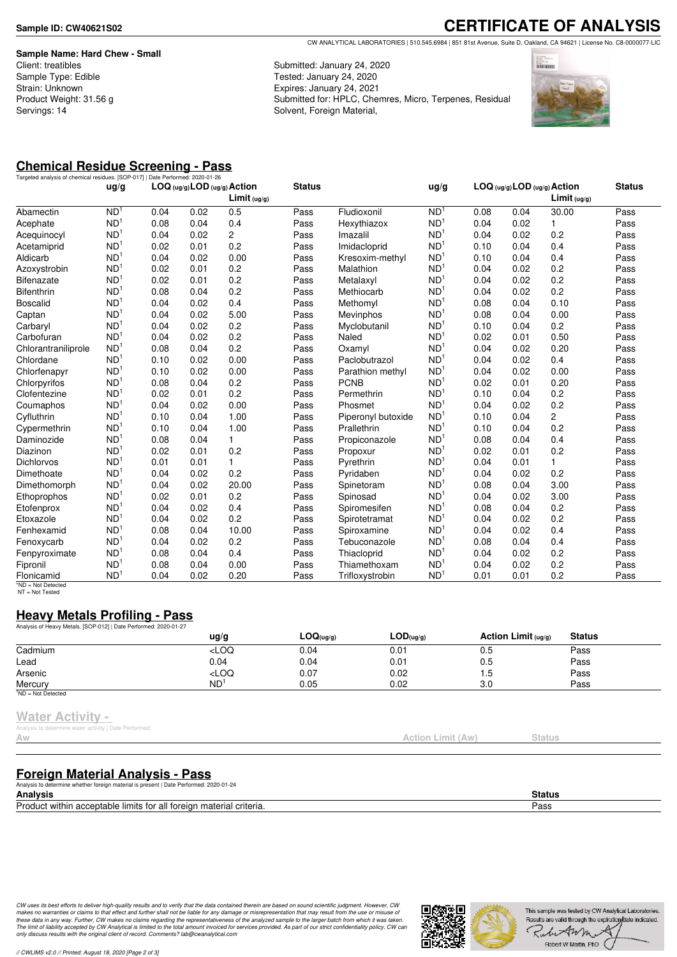**Sample Name: Hard Chew - Small** Client: treatibles Sample Type: Edible Strain: Unknown Product Weight: 31.56 g Servings: 14

**CERTIFICATE OF ANALYSIS** CW ANALYTICAL LABORATORIES | 510.545.6984 | 851 81st Avenue, Suite D, Oakland, CA 94621 | License No. C8-0000077-LIC

Submitted: January 24, 2020 Tested: January 24, 2020 Expires: January 24, 2021 Submitted for: HPLC, Chemres, Micro, Terpenes, Residual Solvent, Foreign Material,



# **Chemical Residue Screening - Pass**

| Targeted analysis of chemical residues. [SOP-017]   Date Performed: 2020-01-26 |                 |      |      |                                                         |               |                    |                 |      |                              |                |               |
|--------------------------------------------------------------------------------|-----------------|------|------|---------------------------------------------------------|---------------|--------------------|-----------------|------|------------------------------|----------------|---------------|
|                                                                                | ug/g            |      |      | LOG (ug/g) LOD (ug/g) Action<br>Limit <sub>(ug/g)</sub> | <b>Status</b> |                    | ug/g            |      | LOG (ug/g) LOD (ug/g) Action | Limit (uq/q)   | <b>Status</b> |
| Abamectin                                                                      | ND <sup>1</sup> | 0.04 | 0.02 | 0.5                                                     | Pass          | Fludioxonil        | ND <sup>1</sup> | 0.08 | 0.04                         | 30.00          | Pass          |
| Acephate                                                                       | ND <sup>1</sup> | 0.08 | 0.04 | 0.4                                                     | Pass          | Hexythiazox        | ND <sup>1</sup> | 0.04 | 0.02                         | 1              | Pass          |
| Acequinocyl                                                                    | ND <sup>1</sup> | 0.04 | 0.02 | $\overline{2}$                                          | Pass          | Imazalil           | ND <sup>1</sup> | 0.04 | 0.02                         | 0.2            | Pass          |
| Acetamiprid                                                                    | ND <sup>1</sup> | 0.02 | 0.01 | 0.2                                                     | Pass          | Imidacloprid       | ND <sup>1</sup> | 0.10 | 0.04                         | 0.4            | Pass          |
| Aldicarb                                                                       | ND <sup>1</sup> | 0.04 | 0.02 | 0.00                                                    | Pass          | Kresoxim-methyl    | ND <sup>1</sup> | 0.10 | 0.04                         | 0.4            | Pass          |
| Azoxystrobin                                                                   | ND <sup>1</sup> | 0.02 | 0.01 | 0.2                                                     | Pass          | Malathion          | ND <sup>1</sup> | 0.04 | 0.02                         | 0.2            | Pass          |
| <b>Bifenazate</b>                                                              | ND <sup>1</sup> | 0.02 | 0.01 | 0.2                                                     | Pass          | Metalaxyl          | ND <sup>1</sup> | 0.04 | 0.02                         | 0.2            | Pass          |
| <b>Bifenthrin</b>                                                              | ND <sup>1</sup> | 0.08 | 0.04 | 0.2                                                     | Pass          | Methiocarb         | ND <sup>1</sup> | 0.04 | 0.02                         | 0.2            | Pass          |
| <b>Boscalid</b>                                                                | ND <sup>1</sup> | 0.04 | 0.02 | 0.4                                                     | Pass          | Methomyl           | ND <sup>1</sup> | 0.08 | 0.04                         | 0.10           | Pass          |
| Captan                                                                         | ND <sup>1</sup> | 0.04 | 0.02 | 5.00                                                    | Pass          | Mevinphos          | ND <sup>1</sup> | 0.08 | 0.04                         | 0.00           | Pass          |
| Carbaryl                                                                       | ND <sup>1</sup> | 0.04 | 0.02 | 0.2                                                     | Pass          | Myclobutanil       | ND <sup>1</sup> | 0.10 | 0.04                         | 0.2            | Pass          |
| Carbofuran                                                                     | ND <sup>1</sup> | 0.04 | 0.02 | 0.2                                                     | Pass          | Naled              | ND <sup>1</sup> | 0.02 | 0.01                         | 0.50           | Pass          |
| Chlorantraniliprole                                                            | ND <sup>1</sup> | 0.08 | 0.04 | 0.2                                                     | Pass          | Oxamyl             | ND <sup>1</sup> | 0.04 | 0.02                         | 0.20           | Pass          |
| Chlordane                                                                      | ND <sup>1</sup> | 0.10 | 0.02 | 0.00                                                    | Pass          | Paclobutrazol      | ND <sup>1</sup> | 0.04 | 0.02                         | 0.4            | Pass          |
| Chlorfenapyr                                                                   | ND <sup>1</sup> | 0.10 | 0.02 | 0.00                                                    | Pass          | Parathion methyl   | ND <sup>1</sup> | 0.04 | 0.02                         | 0.00           | Pass          |
| Chlorpyrifos                                                                   | ND <sup>1</sup> | 0.08 | 0.04 | 0.2                                                     | Pass          | <b>PCNB</b>        | ND <sup>1</sup> | 0.02 | 0.01                         | 0.20           | Pass          |
| Clofentezine                                                                   | ND <sup>1</sup> | 0.02 | 0.01 | 0.2                                                     | Pass          | Permethrin         | ND <sup>1</sup> | 0.10 | 0.04                         | 0.2            | Pass          |
| Coumaphos                                                                      | ND <sup>1</sup> | 0.04 | 0.02 | 0.00                                                    | Pass          | Phosmet            | ND <sup>1</sup> | 0.04 | 0.02                         | 0.2            | Pass          |
| Cyfluthrin                                                                     | ND <sup>1</sup> | 0.10 | 0.04 | 1.00                                                    | Pass          | Piperonyl butoxide | ND <sup>1</sup> | 0.10 | 0.04                         | $\overline{c}$ | Pass          |
| Cypermethrin                                                                   | ND <sup>1</sup> | 0.10 | 0.04 | 1.00                                                    | Pass          | Prallethrin        | ND <sup>1</sup> | 0.10 | 0.04                         | 0.2            | Pass          |
| Daminozide                                                                     | ND <sup>1</sup> | 0.08 | 0.04 | $\mathbf{1}$                                            | Pass          | Propiconazole      | ND <sup>1</sup> | 0.08 | 0.04                         | 0.4            | Pass          |
| Diazinon                                                                       | ND <sup>1</sup> | 0.02 | 0.01 | 0.2                                                     | Pass          | Propoxur           | ND <sup>1</sup> | 0.02 | 0.01                         | 0.2            | Pass          |
| <b>Dichlorvos</b>                                                              | ND <sup>1</sup> | 0.01 | 0.01 | $\mathbf{1}$                                            | Pass          | Pyrethrin          | ND <sup>1</sup> | 0.04 | 0.01                         | 1              | Pass          |
| Dimethoate                                                                     | ND <sup>1</sup> | 0.04 | 0.02 | 0.2                                                     | Pass          | Pyridaben          | ND <sup>1</sup> | 0.04 | 0.02                         | 0.2            | Pass          |
| Dimethomorph                                                                   | ND <sup>1</sup> | 0.04 | 0.02 | 20.00                                                   | Pass          | Spinetoram         | ND              | 0.08 | 0.04                         | 3.00           | Pass          |
| Ethoprophos                                                                    | ND <sup>1</sup> | 0.02 | 0.01 | 0.2                                                     | Pass          | Spinosad           | ND <sup>1</sup> | 0.04 | 0.02                         | 3.00           | Pass          |
| Etofenprox                                                                     | ND <sup>1</sup> | 0.04 | 0.02 | 0.4                                                     | Pass          | Spiromesifen       | ND <sup>1</sup> | 0.08 | 0.04                         | 0.2            | Pass          |
| Etoxazole                                                                      | ND <sup>1</sup> | 0.04 | 0.02 | 0.2                                                     | Pass          | Spirotetramat      | ND <sup>1</sup> | 0.04 | 0.02                         | 0.2            | Pass          |
| Fenhexamid                                                                     | ND <sup>1</sup> | 0.08 | 0.04 | 10.00                                                   | Pass          | Spiroxamine        | ND <sup>1</sup> | 0.04 | 0.02                         | 0.4            | Pass          |
| Fenoxycarb                                                                     | ND <sup>1</sup> | 0.04 | 0.02 | 0.2                                                     | Pass          | Tebuconazole       | ND <sup>1</sup> | 0.08 | 0.04                         | 0.4            | Pass          |
| Fenpyroximate                                                                  | ND <sup>1</sup> | 0.08 | 0.04 | 0.4                                                     | Pass          | Thiacloprid        | ND <sup>1</sup> | 0.04 | 0.02                         | 0.2            | Pass          |
| Fipronil                                                                       | ND <sup>1</sup> | 0.08 | 0.04 | 0.00                                                    | Pass          | Thiamethoxam       | ND <sup>1</sup> | 0.04 | 0.02                         | 0.2            | Pass          |
| Flonicamid                                                                     | ND <sup>1</sup> | 0.04 | 0.02 | 0.20                                                    | Pass          | Trifloxystrobin    | ND <sup>1</sup> | 0.01 | 0.01                         | 0.2            | Pass          |

\*ND = Not Detected NT = Not Tested

## **Heavy Metals Profiling - Pass**

| Analysis of Heavy Metals. [SOP-012]   Date Performed: 2020-01-27 |                                                                                 |                |           |                       |               |  |
|------------------------------------------------------------------|---------------------------------------------------------------------------------|----------------|-----------|-----------------------|---------------|--|
|                                                                  | $\frac{u}{g}$                                                                   | $LOQ_{(uq/q)}$ | LOD(uq/q) | Action Limit $(uq/q)$ | <b>Status</b> |  |
| Cadmium                                                          | <loq< td=""><td>0.04</td><td>0.01</td><td>0.5</td><td>Pass</td><td></td></loq<> | 0.04           | 0.01      | 0.5                   | Pass          |  |
| Lead                                                             | 0.04                                                                            | 0.04           | 0.01      | 0.5                   | Pass          |  |
| Arsenic                                                          | <loq< td=""><td>0.07</td><td>0.02</td><td>1.5</td><td>Pass</td><td></td></loq<> | 0.07           | 0.02      | 1.5                   | Pass          |  |
| Mercury                                                          | ND <sup>1</sup>                                                                 | 0.05           | 0.02      | 3.0                   | Pass          |  |
| $1ND = Not detected$                                             |                                                                                 |                |           |                       |               |  |

#### **Water Activity -**

Analysis to determine water activity | Date Performed:

| rinaryoro to autominiu watur autrenty   Datu i unomiuu.<br>$P_1$ x x x<br>$\sim$ VV | Action Limit (Aw) | Status |
|-------------------------------------------------------------------------------------|-------------------|--------|
|                                                                                     |                   |        |
|                                                                                     |                   |        |

## **Foreign Material Analysis - Pass**

Analysis to determine whether foreign material is present | Date Performed: 2020-01-24

| Analvsis                                                                       | יי   |
|--------------------------------------------------------------------------------|------|
| Prodi<br>$\sim$<br>∴ materi≏<br>$\sim$<br>all<br>шs<br>eriteria.<br>WIII<br>п. | Pass |
|                                                                                |      |

CW uses its best efforts to deliver high-quality results and to verify that the data contained therein are based on sound scientific judgment. However, CW<br>makes no warranties or claims to that effect and further shall not *only discuss results with the original client of record. Comments? lab@cwanalytical.com*